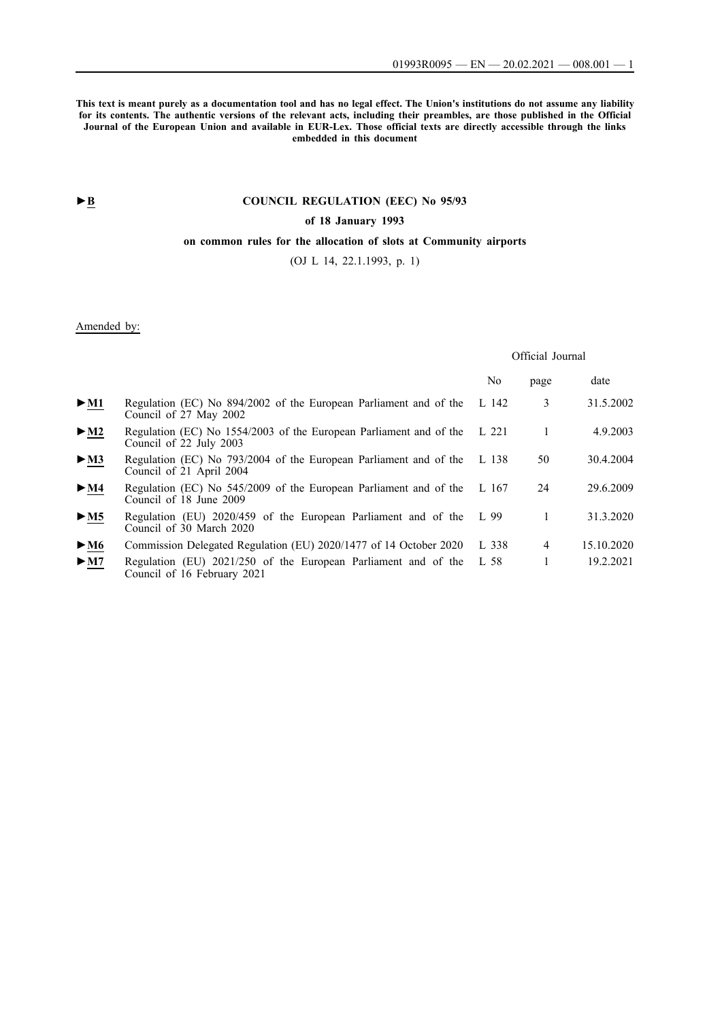**This text is meant purely as a documentation tool and has no legal effect. The Union's institutions do not assume any liability for its contents. The authentic versions of the relevant acts, including their preambles, are those published in the Official Journal of the European Union and available in EUR-Lex. Those official texts are directly accessible through the links embedded in this document**

# **►B [COUNCIL REGULATION \(EEC\) No 95/93](http://data.europa.eu/eli/reg/1993/95/oj/eng)**

## **[of 18 January 1993](http://data.europa.eu/eli/reg/1993/95/oj/eng)**

## **[on common rules for the allocation of slots at Community airports](http://data.europa.eu/eli/reg/1993/95/oj/eng)**

[\(OJ L 14, 22.1.1993, p. 1\)](http://data.europa.eu/eli/reg/1993/95/oj/eng)

# Amended by:

## Official Journal

|                            |                                                                                                 | No    | page           | date       |
|----------------------------|-------------------------------------------------------------------------------------------------|-------|----------------|------------|
| $\triangleright$ <u>M1</u> | Regulation (EC) No 894/2002 of the European Parliament and of the<br>Council of 27 May 2002     | L 142 | 3              | 31.5.2002  |
| $\blacktriangleright$ M2   | Regulation (EC) No 1554/2003 of the European Parliament and of the<br>Council of 22 July 2003   | L 221 |                | 4.9.2003   |
| $\triangleright$ <u>M3</u> | Regulation (EC) No 793/2004 of the European Parliament and of the<br>Council of 21 April 2004   | L 138 | 50             | 30.4.2004  |
| $\triangleright$ <u>M4</u> | Regulation (EC) No 545/2009 of the European Parliament and of the<br>Council of 18 June 2009    | L 167 | 24             | 29.6.2009  |
| $\triangleright$ <u>M5</u> | Regulation (EU) 2020/459 of the European Parliament and of the L 99<br>Council of 30 March 2020 |       | 1              | 31.3.2020  |
| $\blacktriangleright$ M6   | Commission Delegated Regulation (EU) 2020/1477 of 14 October 2020                               | L 338 | $\overline{4}$ | 15.10.2020 |
| $\blacktriangleright$ M7   | Regulation (EU) 2021/250 of the European Parliament and of the<br>Council of 16 February 2021   | L 58  |                | 19.2.2021  |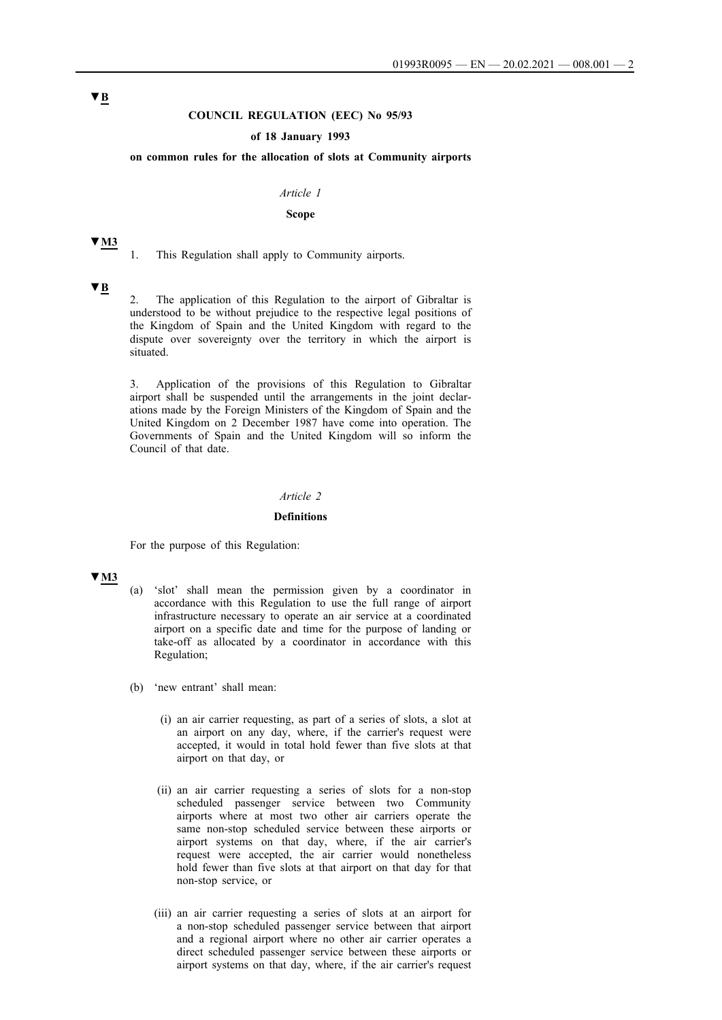### **COUNCIL REGULATION (EEC) No 95/93**

### **of 18 January 1993**

#### **on common rules for the allocation of slots at Community airports**

#### *Article 1*

#### **Scope**

#### **▼M3**

1. This Regulation shall apply to Community airports.

## **▼B**

2. The application of this Regulation to the airport of Gibraltar is understood to be without prejudice to the respective legal positions of the Kingdom of Spain and the United Kingdom with regard to the dispute over sovereignty over the territory in which the airport is situated.

3. Application of the provisions of this Regulation to Gibraltar airport shall be suspended until the arrangements in the joint declarations made by the Foreign Ministers of the Kingdom of Spain and the United Kingdom on 2 December 1987 have come into operation. The Governments of Spain and the United Kingdom will so inform the Council of that date.

### *Article 2*

#### **Definitions**

For the purpose of this Regulation:

# **▼M3**

- (a) 'slot' shall mean the permission given by a coordinator in accordance with this Regulation to use the full range of airport infrastructure necessary to operate an air service at a coordinated airport on a specific date and time for the purpose of landing or take-off as allocated by a coordinator in accordance with this Regulation;
- (b) 'new entrant' shall mean:
	- (i) an air carrier requesting, as part of a series of slots, a slot at an airport on any day, where, if the carrier's request were accepted, it would in total hold fewer than five slots at that airport on that day, or
	- (ii) an air carrier requesting a series of slots for a non-stop scheduled passenger service between two Community airports where at most two other air carriers operate the same non-stop scheduled service between these airports or airport systems on that day, where, if the air carrier's request were accepted, the air carrier would nonetheless hold fewer than five slots at that airport on that day for that non-stop service, or
	- (iii) an air carrier requesting a series of slots at an airport for a non-stop scheduled passenger service between that airport and a regional airport where no other air carrier operates a direct scheduled passenger service between these airports or airport systems on that day, where, if the air carrier's request

# **▼B**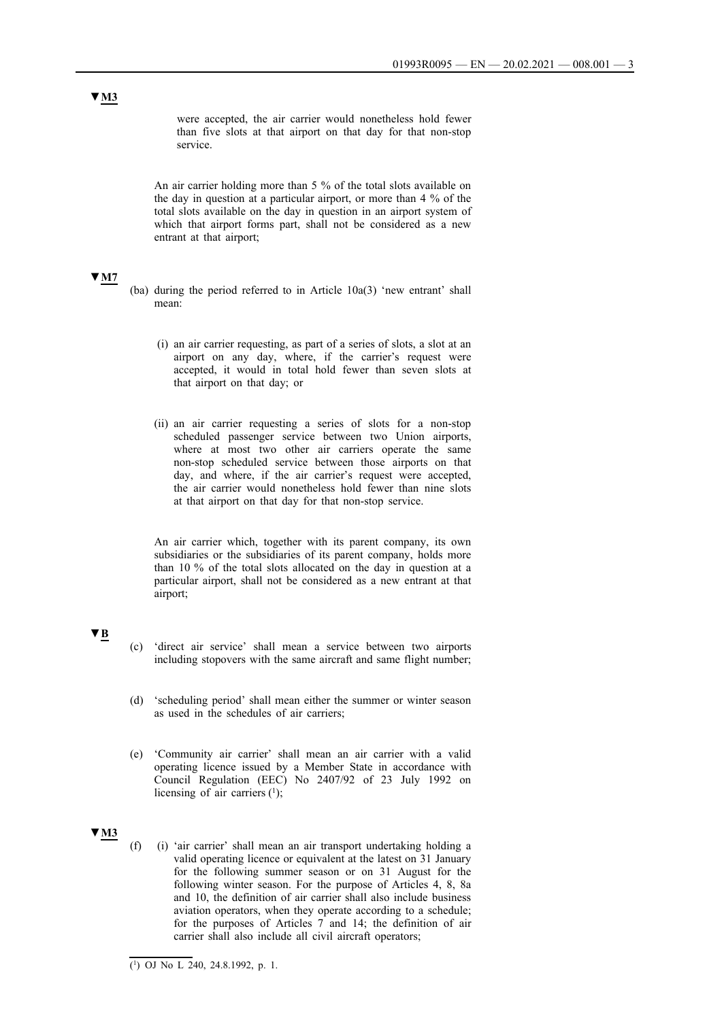were accepted, the air carrier would nonetheless hold fewer than five slots at that airport on that day for that non-stop service.

An air carrier holding more than 5 % of the total slots available on the day in question at a particular airport, or more than 4 % of the total slots available on the day in question in an airport system of which that airport forms part, shall not be considered as a new entrant at that airport;

#### **▼M7**

- (ba) during the period referred to in Article 10a(3) 'new entrant' shall mean:
	- (i) an air carrier requesting, as part of a series of slots, a slot at an airport on any day, where, if the carrier's request were accepted, it would in total hold fewer than seven slots at that airport on that day; or
	- (ii) an air carrier requesting a series of slots for a non-stop scheduled passenger service between two Union airports, where at most two other air carriers operate the same non-stop scheduled service between those airports on that day, and where, if the air carrier's request were accepted, the air carrier would nonetheless hold fewer than nine slots at that airport on that day for that non-stop service.

An air carrier which, together with its parent company, its own subsidiaries or the subsidiaries of its parent company, holds more than 10 % of the total slots allocated on the day in question at a particular airport, shall not be considered as a new entrant at that airport;

# **▼B**

- (c) 'direct air service' shall mean a service between two airports including stopovers with the same aircraft and same flight number;
- (d) 'scheduling period' shall mean either the summer or winter season as used in the schedules of air carriers;
- (e) 'Community air carrier' shall mean an air carrier with a valid operating licence issued by a Member State in accordance with Council Regulation (EEC) No 2407/92 of 23 July 1992 on licensing of air carriers  $(1)$ ;

## **▼M3**

(f) (i) 'air carrier' shall mean an air transport undertaking holding a valid operating licence or equivalent at the latest on 31 January for the following summer season or on 31 August for the following winter season. For the purpose of Articles 4, 8, 8a and 10, the definition of air carrier shall also include business aviation operators, when they operate according to a schedule; for the purposes of Articles  $7$  and 14; the definition of air carrier shall also include all civil aircraft operators;

<sup>(</sup> 1 ) OJ No L 240, 24.8.1992, p. 1.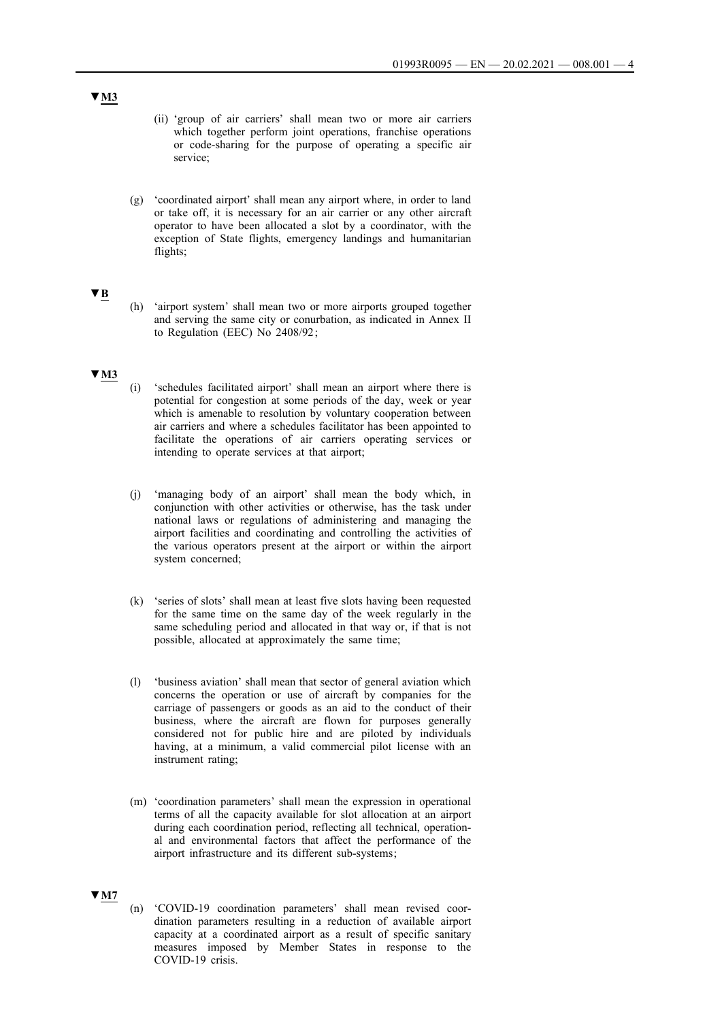- (ii) 'group of air carriers' shall mean two or more air carriers which together perform joint operations, franchise operations or code-sharing for the purpose of operating a specific air service;
- (g) 'coordinated airport' shall mean any airport where, in order to land or take off, it is necessary for an air carrier or any other aircraft operator to have been allocated a slot by a coordinator, with the exception of State flights, emergency landings and humanitarian flights;

### **▼B**

(h) 'airport system' shall mean two or more airports grouped together and serving the same city or conurbation, as indicated in Annex II to Regulation (EEC) No 2408/92 ;

### **▼M3**

- (i) 'schedules facilitated airport' shall mean an airport where there is potential for congestion at some periods of the day, week or year which is amenable to resolution by voluntary cooperation between air carriers and where a schedules facilitator has been appointed to facilitate the operations of air carriers operating services or intending to operate services at that airport;
- (j) 'managing body of an airport' shall mean the body which, in conjunction with other activities or otherwise, has the task under national laws or regulations of administering and managing the airport facilities and coordinating and controlling the activities of the various operators present at the airport or within the airport system concerned;
- (k) 'series of slots' shall mean at least five slots having been requested for the same time on the same day of the week regularly in the same scheduling period and allocated in that way or, if that is not possible, allocated at approximately the same time;
- (l) 'business aviation' shall mean that sector of general aviation which concerns the operation or use of aircraft by companies for the carriage of passengers or goods as an aid to the conduct of their business, where the aircraft are flown for purposes generally considered not for public hire and are piloted by individuals having, at a minimum, a valid commercial pilot license with an instrument rating;
- (m) 'coordination parameters' shall mean the expression in operational terms of all the capacity available for slot allocation at an airport during each coordination period, reflecting all technical, operational and environmental factors that affect the performance of the airport infrastructure and its different sub-systems ;

# **▼M7**

(n) 'COVID-19 coordination parameters' shall mean revised coordination parameters resulting in a reduction of available airport capacity at a coordinated airport as a result of specific sanitary measures imposed by Member States in response to the COVID-19 crisis.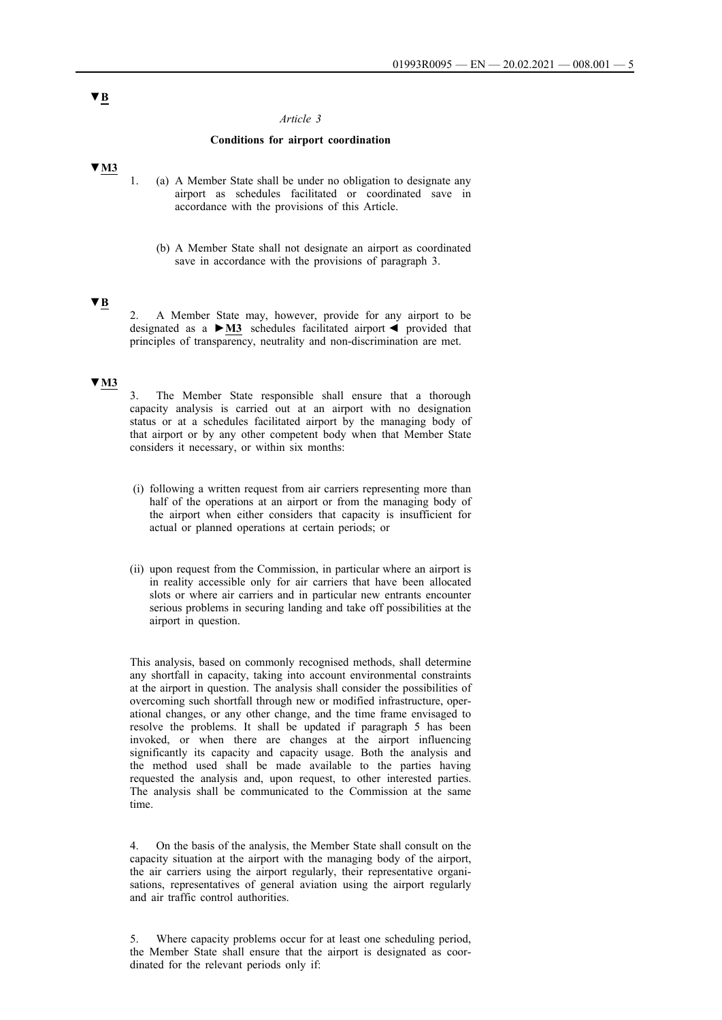#### *Article 3*

#### **Conditions for airport coordination**

## **▼M3**

- 1. (a) A Member State shall be under no obligation to designate any airport as schedules facilitated or coordinated save in accordance with the provisions of this Article.
	- (b) A Member State shall not designate an airport as coordinated save in accordance with the provisions of paragraph 3.

## **▼B**

2. A Member State may, however, provide for any airport to be designated as a **►M3** schedules facilitated airport ◄ provided that principles of transparency, neutrality and non-discrimination are met.

### **▼M3**

3. The Member State responsible shall ensure that a thorough capacity analysis is carried out at an airport with no designation status or at a schedules facilitated airport by the managing body of that airport or by any other competent body when that Member State considers it necessary, or within six months:

- (i) following a written request from air carriers representing more than half of the operations at an airport or from the managing body of the airport when either considers that capacity is insufficient for actual or planned operations at certain periods; or
- (ii) upon request from the Commission, in particular where an airport is in reality accessible only for air carriers that have been allocated slots or where air carriers and in particular new entrants encounter serious problems in securing landing and take off possibilities at the airport in question.

This analysis, based on commonly recognised methods, shall determine any shortfall in capacity, taking into account environmental constraints at the airport in question. The analysis shall consider the possibilities of overcoming such shortfall through new or modified infrastructure, operational changes, or any other change, and the time frame envisaged to resolve the problems. It shall be updated if paragraph 5 has been invoked, or when there are changes at the airport influencing significantly its capacity and capacity usage. Both the analysis and the method used shall be made available to the parties having requested the analysis and, upon request, to other interested parties. The analysis shall be communicated to the Commission at the same time.

4. On the basis of the analysis, the Member State shall consult on the capacity situation at the airport with the managing body of the airport, the air carriers using the airport regularly, their representative organisations, representatives of general aviation using the airport regularly and air traffic control authorities.

5. Where capacity problems occur for at least one scheduling period, the Member State shall ensure that the airport is designated as coordinated for the relevant periods only if:

# **▼B**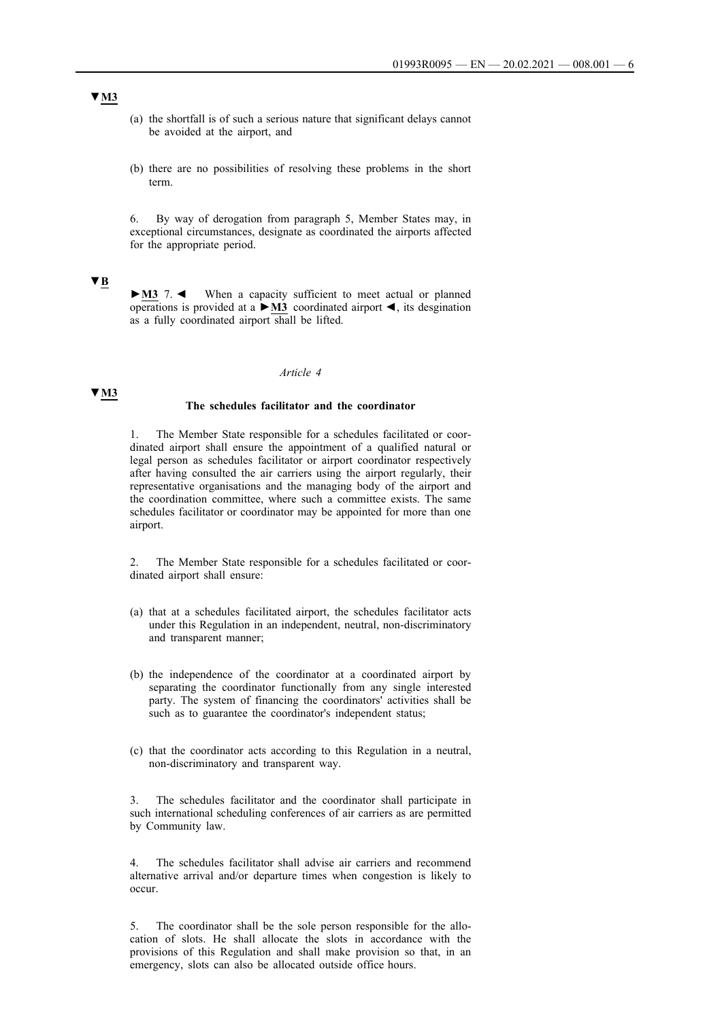- (a) the shortfall is of such a serious nature that significant delays cannot be avoided at the airport, and
- (b) there are no possibilities of resolving these problems in the short term.

6. By way of derogation from paragraph 5, Member States may, in exceptional circumstances, designate as coordinated the airports affected for the appropriate period.

## **▼B**

**►M3** 7. ◄ When a capacity sufficient to meet actual or planned operations is provided at a **►M3** coordinated airport ◄, its desgination as a fully coordinated airport shall be lifted.

#### *Article 4*

#### **▼M3**

# **The schedules facilitator and the coordinator**

1. The Member State responsible for a schedules facilitated or coordinated airport shall ensure the appointment of a qualified natural or legal person as schedules facilitator or airport coordinator respectively after having consulted the air carriers using the airport regularly, their representative organisations and the managing body of the airport and the coordination committee, where such a committee exists. The same schedules facilitator or coordinator may be appointed for more than one airport.

2. The Member State responsible for a schedules facilitated or coordinated airport shall ensure:

- (a) that at a schedules facilitated airport, the schedules facilitator acts under this Regulation in an independent, neutral, non-discriminatory and transparent manner;
- (b) the independence of the coordinator at a coordinated airport by separating the coordinator functionally from any single interested party. The system of financing the coordinators' activities shall be such as to guarantee the coordinator's independent status;
- (c) that the coordinator acts according to this Regulation in a neutral, non-discriminatory and transparent way.

3. The schedules facilitator and the coordinator shall participate in such international scheduling conferences of air carriers as are permitted by Community law.

The schedules facilitator shall advise air carriers and recommend alternative arrival and/or departure times when congestion is likely to occur.

5. The coordinator shall be the sole person responsible for the allocation of slots. He shall allocate the slots in accordance with the provisions of this Regulation and shall make provision so that, in an emergency, slots can also be allocated outside office hours.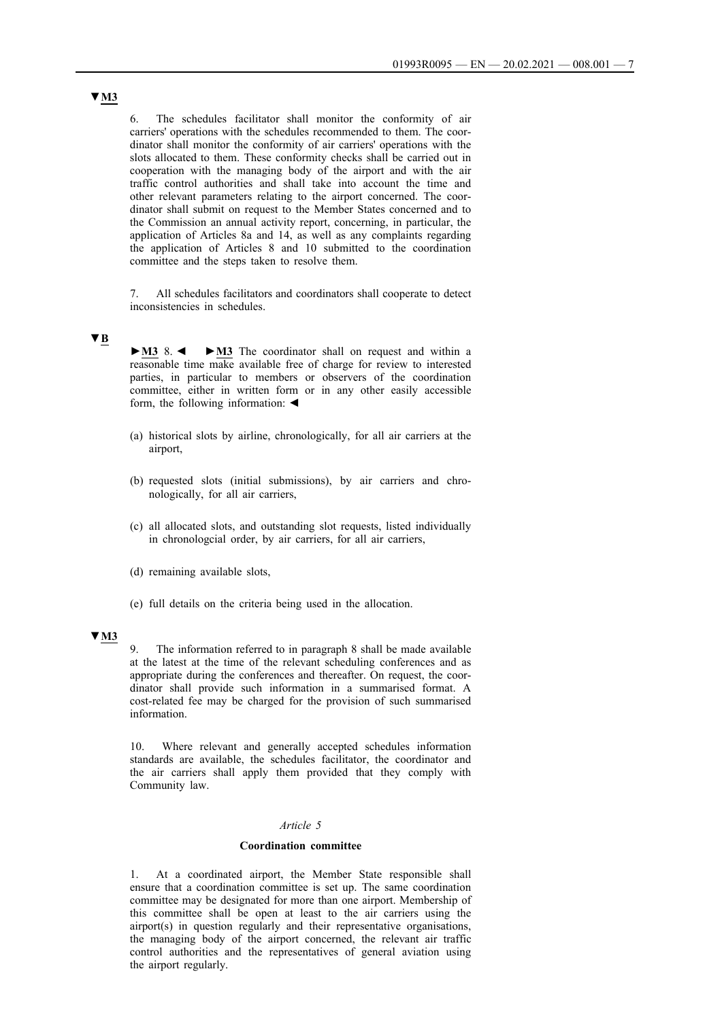6. The schedules facilitator shall monitor the conformity of air carriers' operations with the schedules recommended to them. The coordinator shall monitor the conformity of air carriers' operations with the slots allocated to them. These conformity checks shall be carried out in cooperation with the managing body of the airport and with the air traffic control authorities and shall take into account the time and other relevant parameters relating to the airport concerned. The coordinator shall submit on request to the Member States concerned and to the Commission an annual activity report, concerning, in particular, the application of Articles 8a and 14, as well as any complaints regarding the application of Articles 8 and 10 submitted to the coordination committee and the steps taken to resolve them.

7. All schedules facilitators and coordinators shall cooperate to detect inconsistencies in schedules.

## **▼B**

**►M3** 8. ◄ **►M3** The coordinator shall on request and within a reasonable time make available free of charge for review to interested parties, in particular to members or observers of the coordination committee, either in written form or in any other easily accessible form, the following information: ◄

- (a) historical slots by airline, chronologically, for all air carriers at the airport,
- (b) requested slots (initial submissions), by air carriers and chronologically, for all air carriers,
- (c) all allocated slots, and outstanding slot requests, listed individually in chronologcial order, by air carriers, for all air carriers,
- (d) remaining available slots,
- (e) full details on the criteria being used in the allocation.

### **▼M3**

9. The information referred to in paragraph 8 shall be made available at the latest at the time of the relevant scheduling conferences and as appropriate during the conferences and thereafter. On request, the coordinator shall provide such information in a summarised format. A cost-related fee may be charged for the provision of such summarised information.

10. Where relevant and generally accepted schedules information standards are available, the schedules facilitator, the coordinator and the air carriers shall apply them provided that they comply with Community law.

#### *Article 5*

#### **Coordination committee**

1. At a coordinated airport, the Member State responsible shall ensure that a coordination committee is set up. The same coordination committee may be designated for more than one airport. Membership of this committee shall be open at least to the air carriers using the airport(s) in question regularly and their representative organisations, the managing body of the airport concerned, the relevant air traffic control authorities and the representatives of general aviation using the airport regularly.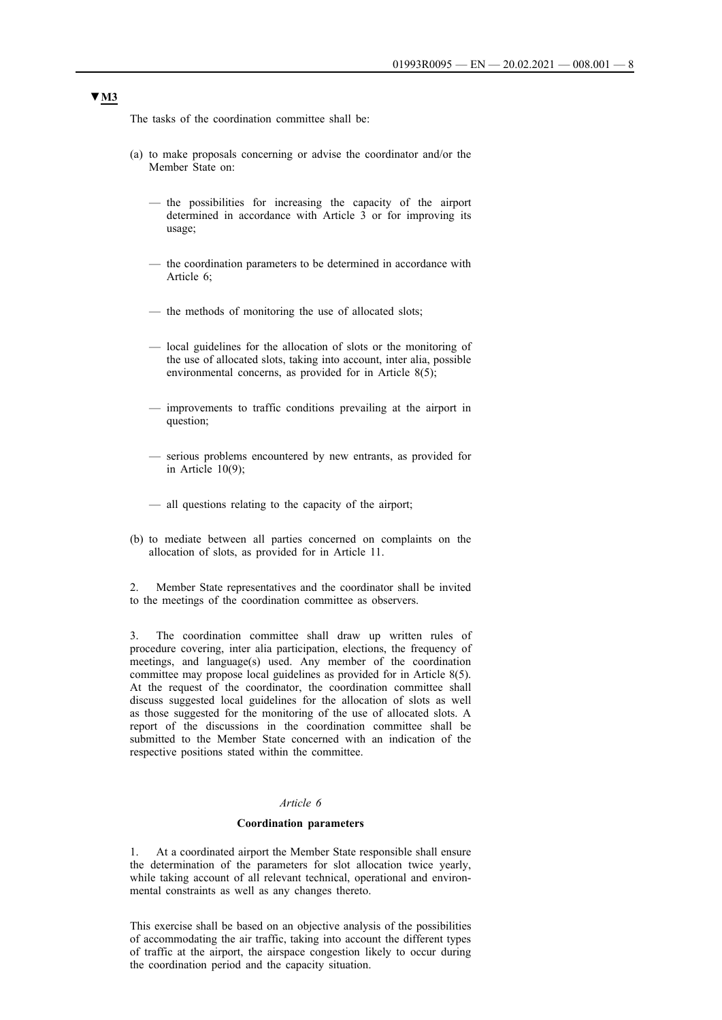The tasks of the coordination committee shall be:

- (a) to make proposals concerning or advise the coordinator and/or the Member State on:
	- the possibilities for increasing the capacity of the airport determined in accordance with Article 3 or for improving its usage;
	- the coordination parameters to be determined in accordance with Article 6;
	- the methods of monitoring the use of allocated slots;
	- local guidelines for the allocation of slots or the monitoring of the use of allocated slots, taking into account, inter alia, possible environmental concerns, as provided for in Article 8(5);
	- improvements to traffic conditions prevailing at the airport in question;
	- serious problems encountered by new entrants, as provided for in Article  $10(9)$ ;
	- all questions relating to the capacity of the airport;
- (b) to mediate between all parties concerned on complaints on the allocation of slots, as provided for in Article 11.

2. Member State representatives and the coordinator shall be invited to the meetings of the coordination committee as observers.

3. The coordination committee shall draw up written rules of procedure covering, inter alia participation, elections, the frequency of meetings, and language(s) used. Any member of the coordination committee may propose local guidelines as provided for in Article 8(5). At the request of the coordinator, the coordination committee shall discuss suggested local guidelines for the allocation of slots as well as those suggested for the monitoring of the use of allocated slots. A report of the discussions in the coordination committee shall be submitted to the Member State concerned with an indication of the respective positions stated within the committee.

## *Article 6*

#### **Coordination parameters**

1. At a coordinated airport the Member State responsible shall ensure the determination of the parameters for slot allocation twice yearly, while taking account of all relevant technical, operational and environmental constraints as well as any changes thereto.

This exercise shall be based on an objective analysis of the possibilities of accommodating the air traffic, taking into account the different types of traffic at the airport, the airspace congestion likely to occur during the coordination period and the capacity situation.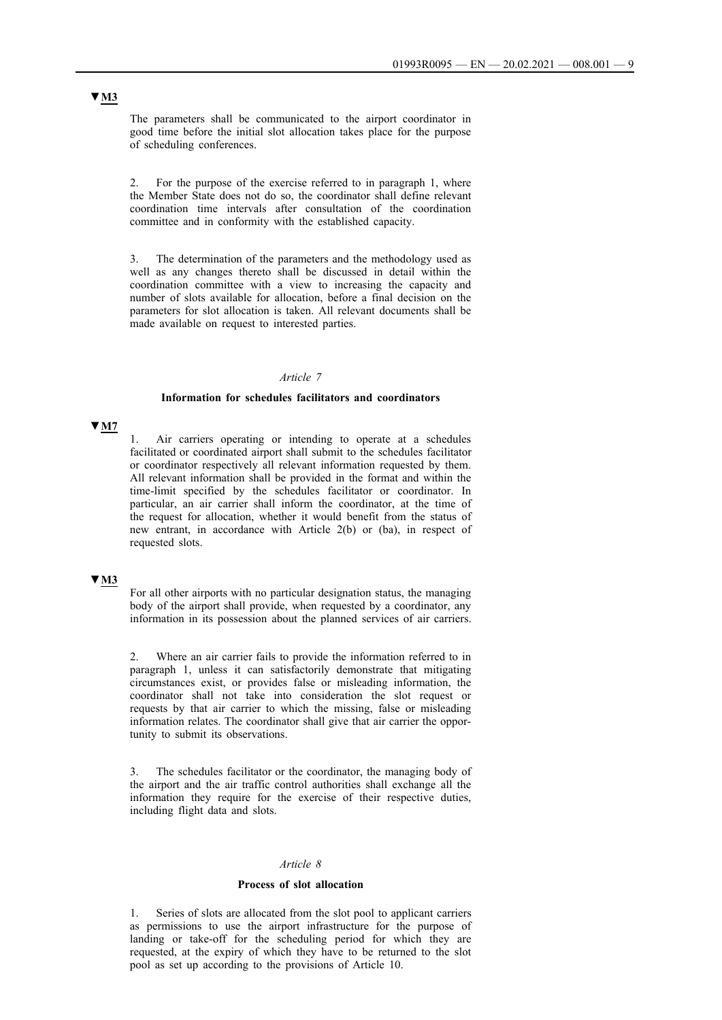The parameters shall be communicated to the airport coordinator in good time before the initial slot allocation takes place for the purpose of scheduling conferences.

2. For the purpose of the exercise referred to in paragraph 1, where the Member State does not do so, the coordinator shall define relevant coordination time intervals after consultation of the coordination committee and in conformity with the established capacity.

3. The determination of the parameters and the methodology used as well as any changes thereto shall be discussed in detail within the coordination committee with a view to increasing the capacity and number of slots available for allocation, before a final decision on the parameters for slot allocation is taken. All relevant documents shall be made available on request to interested parties.

#### *Article 7*

#### **Information for schedules facilitators and coordinators**

### **▼M7**

Air carriers operating or intending to operate at a schedules facilitated or coordinated airport shall submit to the schedules facilitator or coordinator respectively all relevant information requested by them. All relevant information shall be provided in the format and within the time-limit specified by the schedules facilitator or coordinator. In particular, an air carrier shall inform the coordinator, at the time of the request for allocation, whether it would benefit from the status of new entrant, in accordance with Article 2(b) or (ba), in respect of requested slots.

# **▼M3**

For all other airports with no particular designation status, the managing body of the airport shall provide, when requested by a coordinator, any information in its possession about the planned services of air carriers.

2. Where an air carrier fails to provide the information referred to in paragraph 1, unless it can satisfactorily demonstrate that mitigating circumstances exist, or provides false or misleading information, the coordinator shall not take into consideration the slot request or requests by that air carrier to which the missing, false or misleading information relates. The coordinator shall give that air carrier the opportunity to submit its observations.

3. The schedules facilitator or the coordinator, the managing body of the airport and the air traffic control authorities shall exchange all the information they require for the exercise of their respective duties, including flight data and slots.

#### *Article 8*

#### **Process of slot allocation**

1. Series of slots are allocated from the slot pool to applicant carriers as permissions to use the airport infrastructure for the purpose of landing or take-off for the scheduling period for which they are requested, at the expiry of which they have to be returned to the slot pool as set up according to the provisions of Article 10.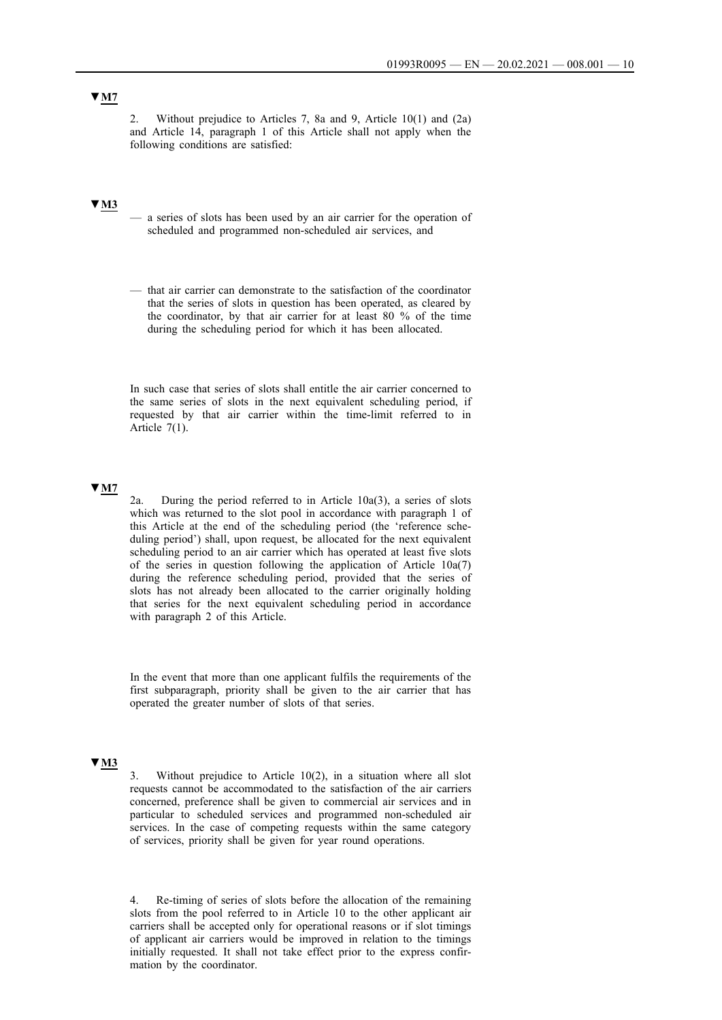# **▼M7**

2. Without prejudice to Articles 7, 8a and 9, Article 10(1) and (2a) and Article 14, paragraph 1 of this Article shall not apply when the following conditions are satisfied:

# **▼M3**

- a series of slots has been used by an air carrier for the operation of scheduled and programmed non-scheduled air services, and
- that air carrier can demonstrate to the satisfaction of the coordinator that the series of slots in question has been operated, as cleared by the coordinator, by that air carrier for at least 80 % of the time during the scheduling period for which it has been allocated.

In such case that series of slots shall entitle the air carrier concerned to the same series of slots in the next equivalent scheduling period, if requested by that air carrier within the time-limit referred to in Article 7(1).

# **▼M7**

2a. During the period referred to in Article 10a(3), a series of slots which was returned to the slot pool in accordance with paragraph 1 of this Article at the end of the scheduling period (the 'reference scheduling period') shall, upon request, be allocated for the next equivalent scheduling period to an air carrier which has operated at least five slots of the series in question following the application of Article 10a(7) during the reference scheduling period, provided that the series of slots has not already been allocated to the carrier originally holding that series for the next equivalent scheduling period in accordance with paragraph 2 of this Article.

In the event that more than one applicant fulfils the requirements of the first subparagraph, priority shall be given to the air carrier that has operated the greater number of slots of that series.

### **▼M3**

Without prejudice to Article  $10(2)$ , in a situation where all slot requests cannot be accommodated to the satisfaction of the air carriers concerned, preference shall be given to commercial air services and in particular to scheduled services and programmed non-scheduled air services. In the case of competing requests within the same category of services, priority shall be given for year round operations.

4. Re-timing of series of slots before the allocation of the remaining slots from the pool referred to in Article 10 to the other applicant air carriers shall be accepted only for operational reasons or if slot timings of applicant air carriers would be improved in relation to the timings initially requested. It shall not take effect prior to the express confirmation by the coordinator.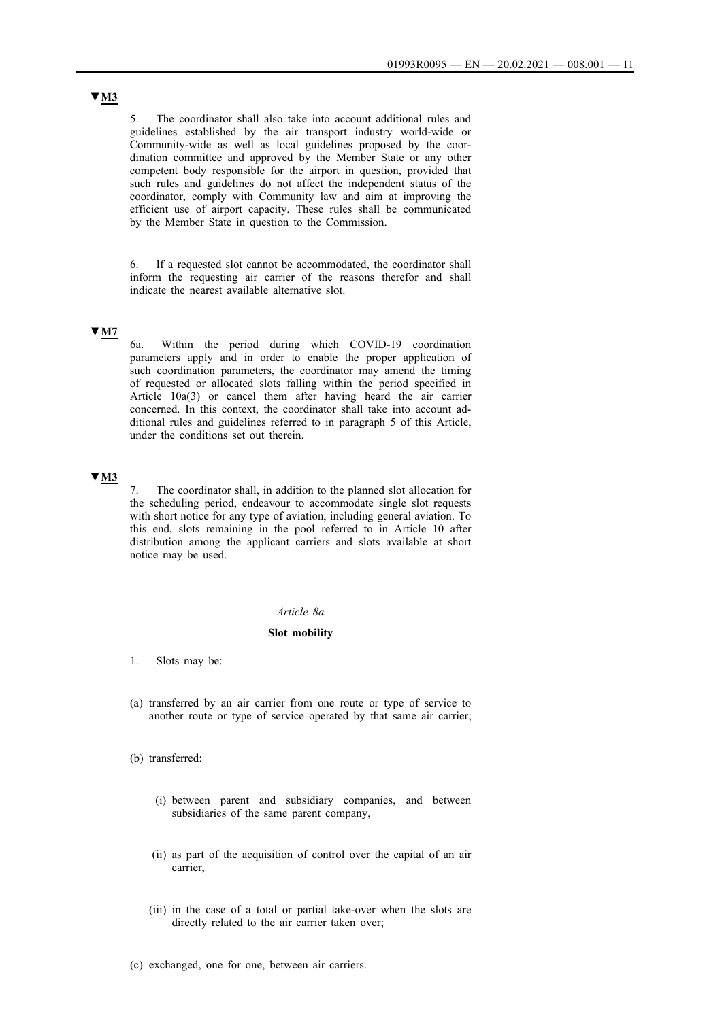5. The coordinator shall also take into account additional rules and guidelines established by the air transport industry world-wide or Community-wide as well as local guidelines proposed by the coordination committee and approved by the Member State or any other competent body responsible for the airport in question, provided that such rules and guidelines do not affect the independent status of the coordinator, comply with Community law and aim at improving the efficient use of airport capacity. These rules shall be communicated by the Member State in question to the Commission.

6. If a requested slot cannot be accommodated, the coordinator shall inform the requesting air carrier of the reasons therefor and shall indicate the nearest available alternative slot.

## **▼M7**

6a. Within the period during which COVID-19 coordination parameters apply and in order to enable the proper application of such coordination parameters, the coordinator may amend the timing of requested or allocated slots falling within the period specified in Article 10a(3) or cancel them after having heard the air carrier concerned. In this context, the coordinator shall take into account additional rules and guidelines referred to in paragraph 5 of this Article, under the conditions set out therein.

## **▼M3**

7. The coordinator shall, in addition to the planned slot allocation for the scheduling period, endeavour to accommodate single slot requests with short notice for any type of aviation, including general aviation. To this end, slots remaining in the pool referred to in Article 10 after distribution among the applicant carriers and slots available at short notice may be used.

#### *Article 8a*

#### **Slot mobility**

- 1. Slots may be:
- (a) transferred by an air carrier from one route or type of service to another route or type of service operated by that same air carrier;
- (b) transferred:
	- (i) between parent and subsidiary companies, and between subsidiaries of the same parent company,
	- (ii) as part of the acquisition of control over the capital of an air carrier,
	- (iii) in the case of a total or partial take-over when the slots are directly related to the air carrier taken over;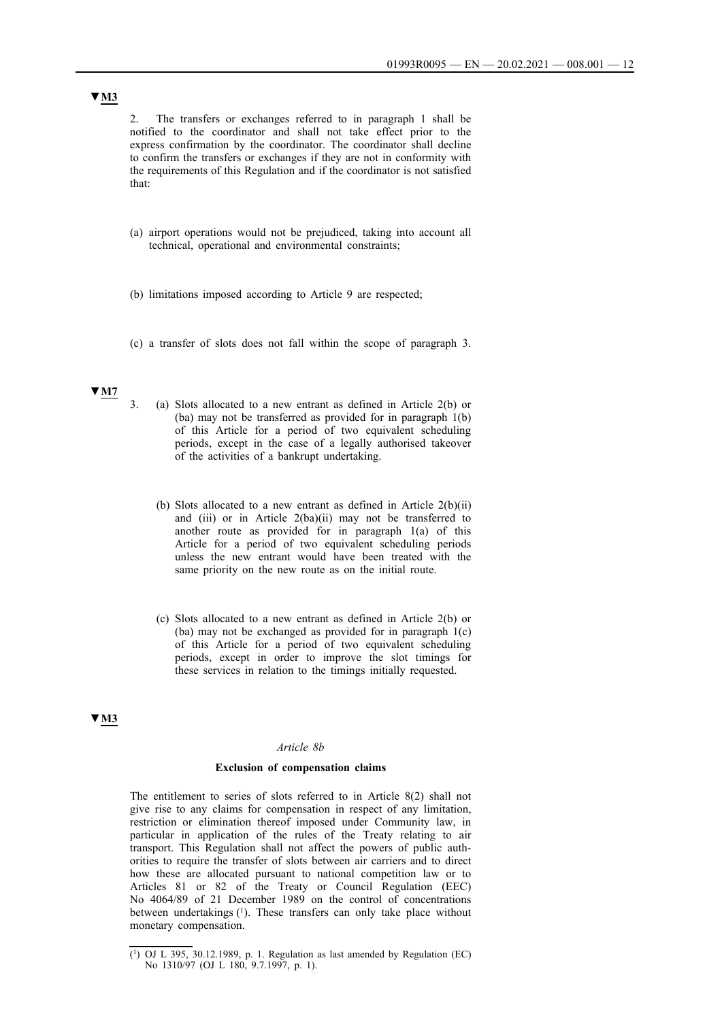2. The transfers or exchanges referred to in paragraph 1 shall be notified to the coordinator and shall not take effect prior to the express confirmation by the coordinator. The coordinator shall decline to confirm the transfers or exchanges if they are not in conformity with the requirements of this Regulation and if the coordinator is not satisfied that:

- (a) airport operations would not be prejudiced, taking into account all technical, operational and environmental constraints;
- (b) limitations imposed according to Article 9 are respected;
- (c) a transfer of slots does not fall within the scope of paragraph 3.

## **▼M7**

- 3. (a) Slots allocated to a new entrant as defined in Article 2(b) or (ba) may not be transferred as provided for in paragraph 1(b) of this Article for a period of two equivalent scheduling periods, except in the case of a legally authorised takeover of the activities of a bankrupt undertaking.
	- (b) Slots allocated to a new entrant as defined in Article 2(b)(ii) and (iii) or in Article 2(ba)(ii) may not be transferred to another route as provided for in paragraph 1(a) of this Article for a period of two equivalent scheduling periods unless the new entrant would have been treated with the same priority on the new route as on the initial route.
	- (c) Slots allocated to a new entrant as defined in Article 2(b) or (ba) may not be exchanged as provided for in paragraph 1(c) of this Article for a period of two equivalent scheduling periods, except in order to improve the slot timings for these services in relation to the timings initially requested.

### **▼M3**

#### *Article 8b*

#### **Exclusion of compensation claims**

The entitlement to series of slots referred to in Article 8(2) shall not give rise to any claims for compensation in respect of any limitation, restriction or elimination thereof imposed under Community law, in particular in application of the rules of the Treaty relating to air transport. This Regulation shall not affect the powers of public authorities to require the transfer of slots between air carriers and to direct how these are allocated pursuant to national competition law or to Articles 81 or 82 of the Treaty or Council Regulation (EEC) No 4064/89 of 21 December 1989 on the control of concentrations between undertakings (1). These transfers can only take place without monetary compensation.

<sup>(</sup> 1 ) OJ L 395, 30.12.1989, p. 1. Regulation as last amended by Regulation (EC) No 1310/97 (OJ L 180, 9.7.1997, p. 1).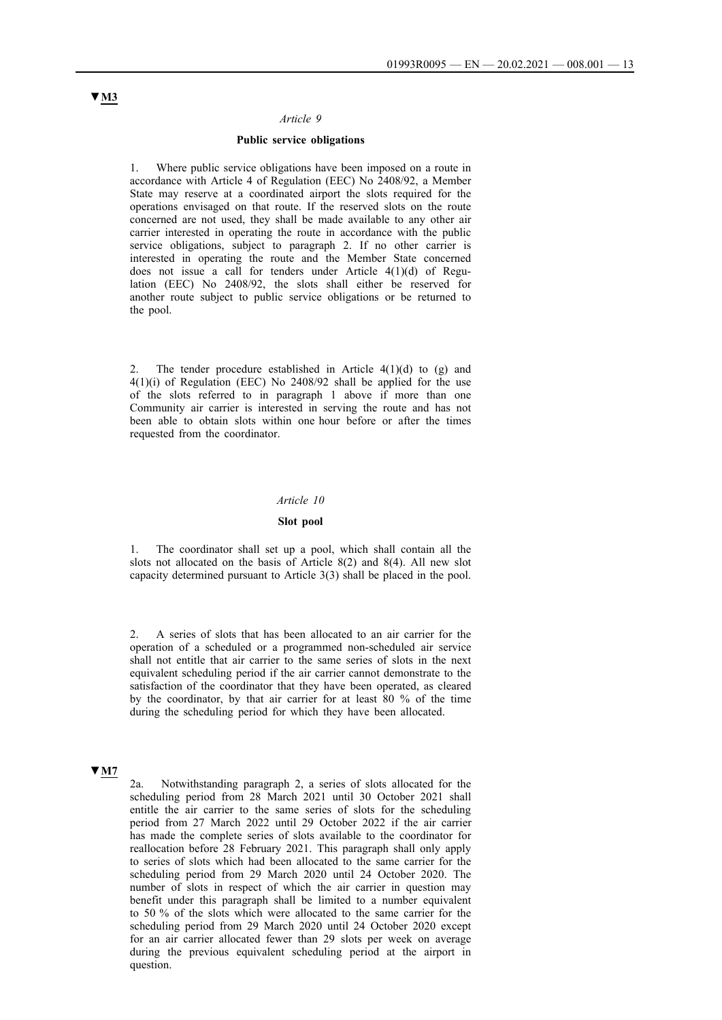#### *Article 9*

#### **Public service obligations**

1. Where public service obligations have been imposed on a route in accordance with Article 4 of Regulation (EEC) No 2408/92, a Member State may reserve at a coordinated airport the slots required for the operations envisaged on that route. If the reserved slots on the route concerned are not used, they shall be made available to any other air carrier interested in operating the route in accordance with the public service obligations, subject to paragraph 2. If no other carrier is interested in operating the route and the Member State concerned does not issue a call for tenders under Article 4(1)(d) of Regulation (EEC) No 2408/92, the slots shall either be reserved for another route subject to public service obligations or be returned to the pool.

2. The tender procedure established in Article  $4(1)(d)$  to  $(g)$  and 4(1)(i) of Regulation (EEC) No 2408/92 shall be applied for the use of the slots referred to in paragraph 1 above if more than one Community air carrier is interested in serving the route and has not been able to obtain slots within one hour before or after the times requested from the coordinator.

### *Article 10*

#### **Slot pool**

The coordinator shall set up a pool, which shall contain all the slots not allocated on the basis of Article 8(2) and 8(4). All new slot capacity determined pursuant to Article 3(3) shall be placed in the pool.

2. A series of slots that has been allocated to an air carrier for the operation of a scheduled or a programmed non-scheduled air service shall not entitle that air carrier to the same series of slots in the next equivalent scheduling period if the air carrier cannot demonstrate to the satisfaction of the coordinator that they have been operated, as cleared by the coordinator, by that air carrier for at least 80 % of the time during the scheduling period for which they have been allocated.

### **▼M7**

2a. Notwithstanding paragraph 2, a series of slots allocated for the scheduling period from 28 March 2021 until 30 October 2021 shall entitle the air carrier to the same series of slots for the scheduling period from 27 March 2022 until 29 October 2022 if the air carrier has made the complete series of slots available to the coordinator for reallocation before 28 February 2021. This paragraph shall only apply to series of slots which had been allocated to the same carrier for the scheduling period from 29 March 2020 until 24 October 2020. The number of slots in respect of which the air carrier in question may benefit under this paragraph shall be limited to a number equivalent to 50 % of the slots which were allocated to the same carrier for the scheduling period from 29 March 2020 until 24 October 2020 except for an air carrier allocated fewer than 29 slots per week on average during the previous equivalent scheduling period at the airport in question.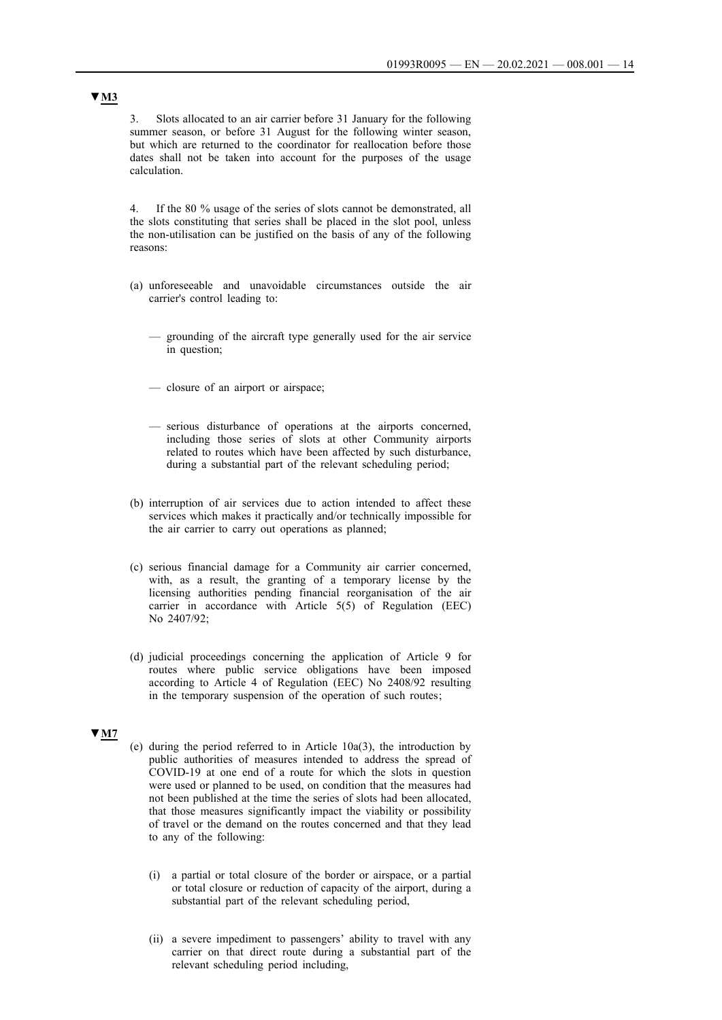3. Slots allocated to an air carrier before 31 January for the following summer season, or before 31 August for the following winter season, but which are returned to the coordinator for reallocation before those dates shall not be taken into account for the purposes of the usage calculation.

4. If the 80 % usage of the series of slots cannot be demonstrated, all the slots constituting that series shall be placed in the slot pool, unless the non-utilisation can be justified on the basis of any of the following reasons:

- (a) unforeseeable and unavoidable circumstances outside the air carrier's control leading to:
	- grounding of the aircraft type generally used for the air service in question;
	- closure of an airport or airspace;
	- serious disturbance of operations at the airports concerned, including those series of slots at other Community airports related to routes which have been affected by such disturbance, during a substantial part of the relevant scheduling period;
- (b) interruption of air services due to action intended to affect these services which makes it practically and/or technically impossible for the air carrier to carry out operations as planned;
- (c) serious financial damage for a Community air carrier concerned, with, as a result, the granting of a temporary license by the licensing authorities pending financial reorganisation of the air carrier in accordance with Article 5(5) of Regulation (EEC) No 2407/92;
- (d) judicial proceedings concerning the application of Article 9 for routes where public service obligations have been imposed according to Article 4 of Regulation (EEC) No 2408/92 resulting in the temporary suspension of the operation of such routes;

#### **▼M7**

- (e) during the period referred to in Article 10a(3), the introduction by public authorities of measures intended to address the spread of COVID-19 at one end of a route for which the slots in question were used or planned to be used, on condition that the measures had not been published at the time the series of slots had been allocated, that those measures significantly impact the viability or possibility of travel or the demand on the routes concerned and that they lead to any of the following:
	- (i) a partial or total closure of the border or airspace, or a partial or total closure or reduction of capacity of the airport, during a substantial part of the relevant scheduling period,
	- (ii) a severe impediment to passengers' ability to travel with any carrier on that direct route during a substantial part of the relevant scheduling period including,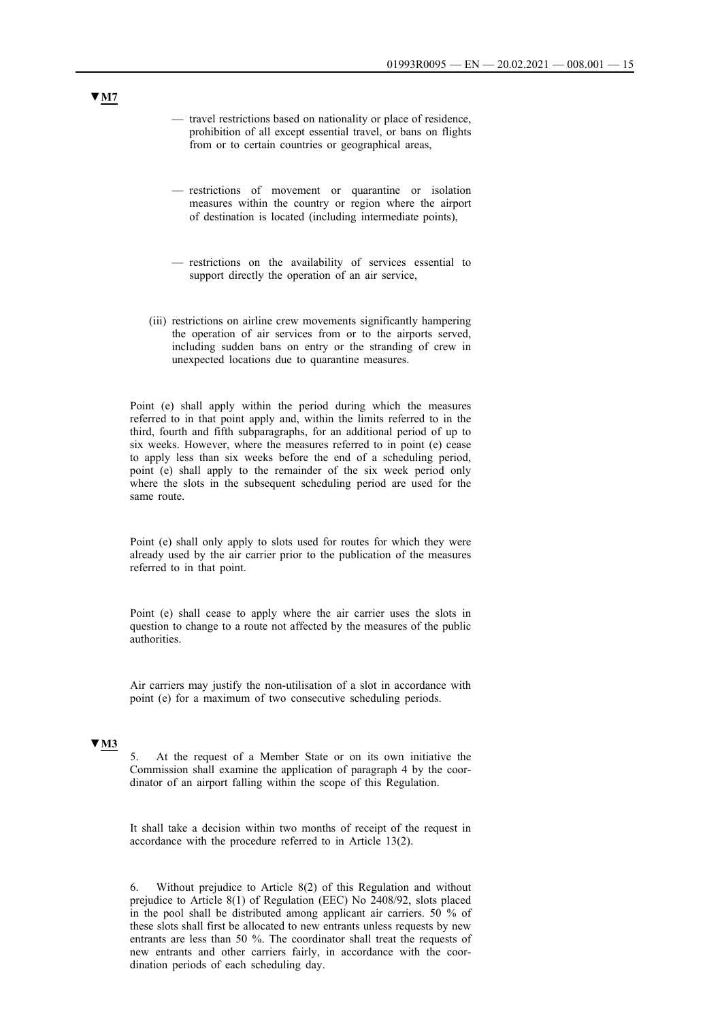- travel restrictions based on nationality or place of residence, prohibition of all except essential travel, or bans on flights from or to certain countries or geographical areas,
- restrictions of movement or quarantine or isolation measures within the country or region where the airport of destination is located (including intermediate points),
- restrictions on the availability of services essential to support directly the operation of an air service,
- (iii) restrictions on airline crew movements significantly hampering the operation of air services from or to the airports served, including sudden bans on entry or the stranding of crew in unexpected locations due to quarantine measures.

Point (e) shall apply within the period during which the measures referred to in that point apply and, within the limits referred to in the third, fourth and fifth subparagraphs, for an additional period of up to six weeks. However, where the measures referred to in point (e) cease to apply less than six weeks before the end of a scheduling period, point (e) shall apply to the remainder of the six week period only where the slots in the subsequent scheduling period are used for the same route.

Point (e) shall only apply to slots used for routes for which they were already used by the air carrier prior to the publication of the measures referred to in that point.

Point (e) shall cease to apply where the air carrier uses the slots in question to change to a route not affected by the measures of the public authorities.

Air carriers may justify the non-utilisation of a slot in accordance with point (e) for a maximum of two consecutive scheduling periods.

# **▼M3**

5. At the request of a Member State or on its own initiative the Commission shall examine the application of paragraph 4 by the coordinator of an airport falling within the scope of this Regulation.

It shall take a decision within two months of receipt of the request in accordance with the procedure referred to in Article 13(2).

6. Without prejudice to Article 8(2) of this Regulation and without prejudice to Article 8(1) of Regulation (EEC) No 2408/92, slots placed in the pool shall be distributed among applicant air carriers. 50 % of these slots shall first be allocated to new entrants unless requests by new entrants are less than 50 %. The coordinator shall treat the requests of new entrants and other carriers fairly, in accordance with the coordination periods of each scheduling day.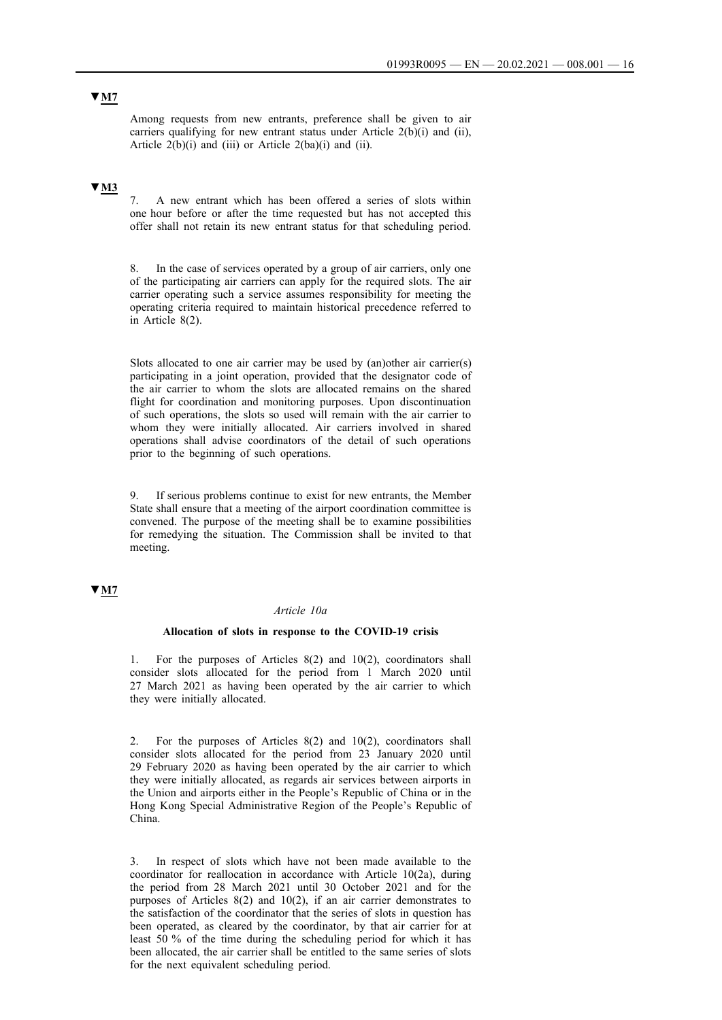Among requests from new entrants, preference shall be given to air carriers qualifying for new entrant status under Article 2(b)(i) and (ii), Article  $2(b)(i)$  and (iii) or Article  $2(ba)(i)$  and (ii).

### **▼M3**

7. A new entrant which has been offered a series of slots within one hour before or after the time requested but has not accepted this offer shall not retain its new entrant status for that scheduling period.

8. In the case of services operated by a group of air carriers, only one of the participating air carriers can apply for the required slots. The air carrier operating such a service assumes responsibility for meeting the operating criteria required to maintain historical precedence referred to in Article 8(2).

Slots allocated to one air carrier may be used by (an)other air carrier(s) participating in a joint operation, provided that the designator code of the air carrier to whom the slots are allocated remains on the shared flight for coordination and monitoring purposes. Upon discontinuation of such operations, the slots so used will remain with the air carrier to whom they were initially allocated. Air carriers involved in shared operations shall advise coordinators of the detail of such operations prior to the beginning of such operations.

If serious problems continue to exist for new entrants, the Member State shall ensure that a meeting of the airport coordination committee is convened. The purpose of the meeting shall be to examine possibilities for remedying the situation. The Commission shall be invited to that meeting.

## **▼M7**

### *Article 10a*

#### **Allocation of slots in response to the COVID-19 crisis**

1. For the purposes of Articles 8(2) and 10(2), coordinators shall consider slots allocated for the period from 1 March 2020 until 27 March 2021 as having been operated by the air carrier to which they were initially allocated.

2. For the purposes of Articles 8(2) and 10(2), coordinators shall consider slots allocated for the period from 23 January 2020 until 29 February 2020 as having been operated by the air carrier to which they were initially allocated, as regards air services between airports in the Union and airports either in the People's Republic of China or in the Hong Kong Special Administrative Region of the People's Republic of China.

3. In respect of slots which have not been made available to the coordinator for reallocation in accordance with Article 10(2a), during the period from 28 March 2021 until 30 October 2021 and for the purposes of Articles 8(2) and 10(2), if an air carrier demonstrates to the satisfaction of the coordinator that the series of slots in question has been operated, as cleared by the coordinator, by that air carrier for at least 50 % of the time during the scheduling period for which it has been allocated, the air carrier shall be entitled to the same series of slots for the next equivalent scheduling period.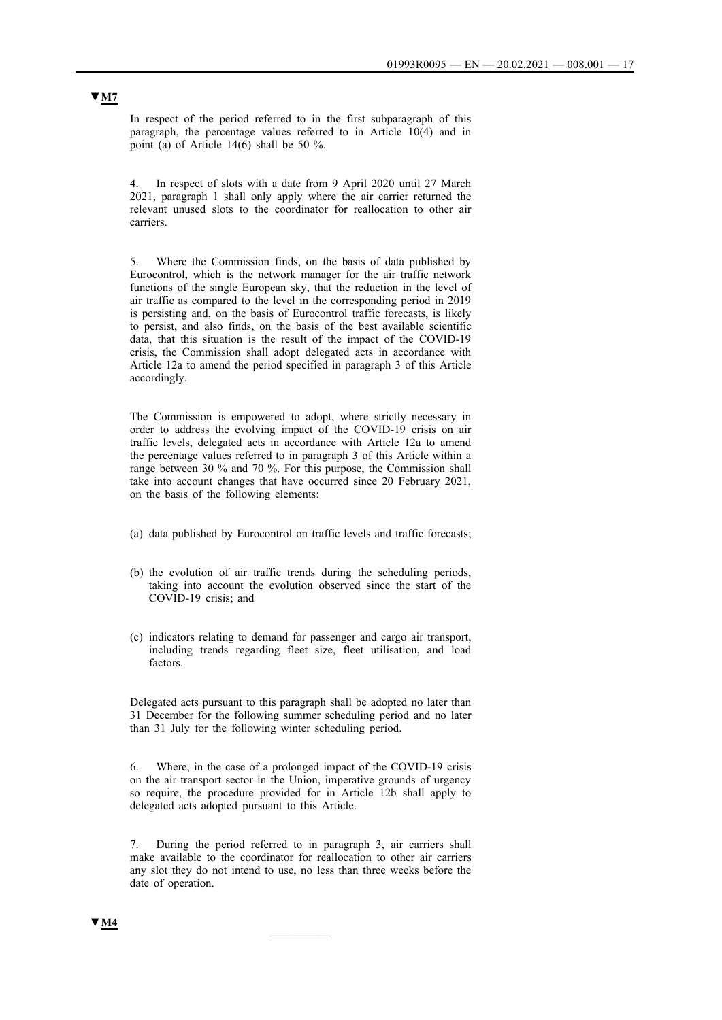In respect of the period referred to in the first subparagraph of this paragraph, the percentage values referred to in Article 10(4) and in point (a) of Article 14(6) shall be 50 %.

4. In respect of slots with a date from 9 April 2020 until 27 March 2021, paragraph 1 shall only apply where the air carrier returned the relevant unused slots to the coordinator for reallocation to other air carriers.

5. Where the Commission finds, on the basis of data published by Eurocontrol, which is the network manager for the air traffic network functions of the single European sky, that the reduction in the level of air traffic as compared to the level in the corresponding period in 2019 is persisting and, on the basis of Eurocontrol traffic forecasts, is likely to persist, and also finds, on the basis of the best available scientific data, that this situation is the result of the impact of the COVID-19 crisis, the Commission shall adopt delegated acts in accordance with Article 12a to amend the period specified in paragraph 3 of this Article accordingly.

The Commission is empowered to adopt, where strictly necessary in order to address the evolving impact of the COVID-19 crisis on air traffic levels, delegated acts in accordance with Article 12a to amend the percentage values referred to in paragraph 3 of this Article within a range between 30 % and 70 %. For this purpose, the Commission shall take into account changes that have occurred since 20 February 2021, on the basis of the following elements:

- (a) data published by Eurocontrol on traffic levels and traffic forecasts;
- (b) the evolution of air traffic trends during the scheduling periods, taking into account the evolution observed since the start of the COVID-19 crisis; and
- (c) indicators relating to demand for passenger and cargo air transport, including trends regarding fleet size, fleet utilisation, and load factors.

Delegated acts pursuant to this paragraph shall be adopted no later than 31 December for the following summer scheduling period and no later than 31 July for the following winter scheduling period.

6. Where, in the case of a prolonged impact of the COVID-19 crisis on the air transport sector in the Union, imperative grounds of urgency so require, the procedure provided for in Article 12b shall apply to delegated acts adopted pursuant to this Article.

7. During the period referred to in paragraph 3, air carriers shall make available to the coordinator for reallocation to other air carriers any slot they do not intend to use, no less than three weeks before the date of operation.

 $\frac{1}{2}$ 

## **▼M7**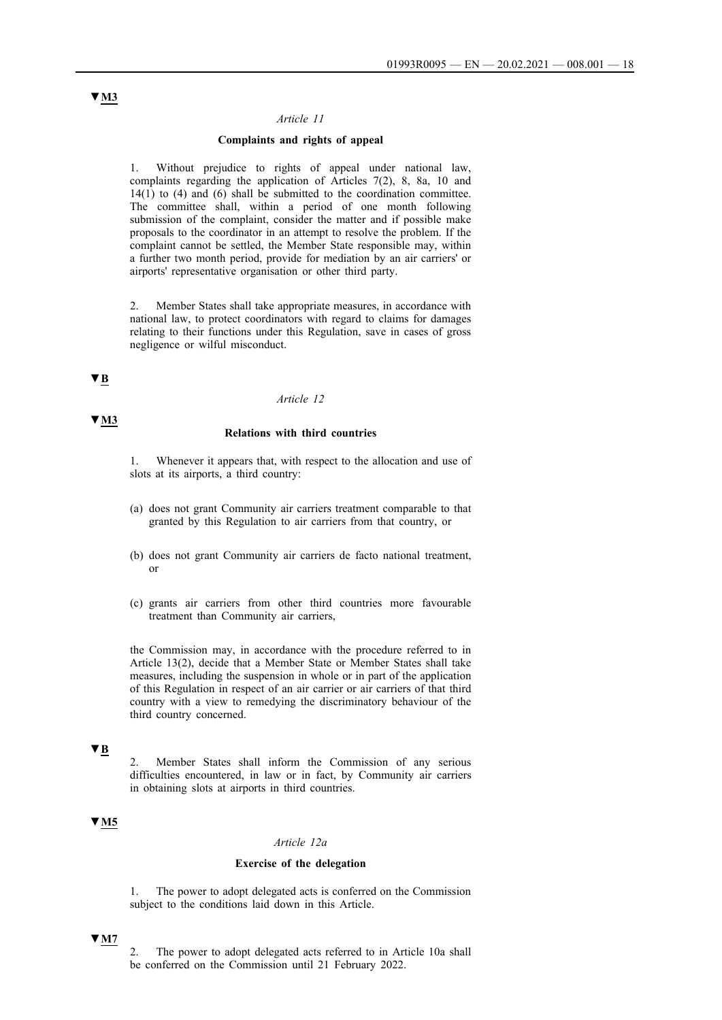#### *Article 11*

### **Complaints and rights of appeal**

1. Without prejudice to rights of appeal under national law, complaints regarding the application of Articles 7(2), 8, 8a, 10 and  $14(1)$  to (4) and (6) shall be submitted to the coordination committee. The committee shall, within a period of one month following submission of the complaint, consider the matter and if possible make proposals to the coordinator in an attempt to resolve the problem. If the complaint cannot be settled, the Member State responsible may, within a further two month period, provide for mediation by an air carriers' or airports' representative organisation or other third party.

2. Member States shall take appropriate measures, in accordance with national law, to protect coordinators with regard to claims for damages relating to their functions under this Regulation, save in cases of gross negligence or wilful misconduct.

# **▼B**

**▼M3** 

#### *Article 12*

### **Relations with third countries**

Whenever it appears that, with respect to the allocation and use of slots at its airports, a third country:

- (a) does not grant Community air carriers treatment comparable to that granted by this Regulation to air carriers from that country, or
- (b) does not grant Community air carriers de facto national treatment, or
- (c) grants air carriers from other third countries more favourable treatment than Community air carriers,

the Commission may, in accordance with the procedure referred to in Article 13(2), decide that a Member State or Member States shall take measures, including the suspension in whole or in part of the application of this Regulation in respect of an air carrier or air carriers of that third country with a view to remedying the discriminatory behaviour of the third country concerned.

# **▼B**

2. Member States shall inform the Commission of any serious difficulties encountered, in law or in fact, by Community air carriers in obtaining slots at airports in third countries.

## **▼M5**

#### *Article 12a*

#### **Exercise of the delegation**

1. The power to adopt delegated acts is conferred on the Commission subject to the conditions laid down in this Article.

### **▼M7**

2. The power to adopt delegated acts referred to in Article 10a shall be conferred on the Commission until 21 February 2022.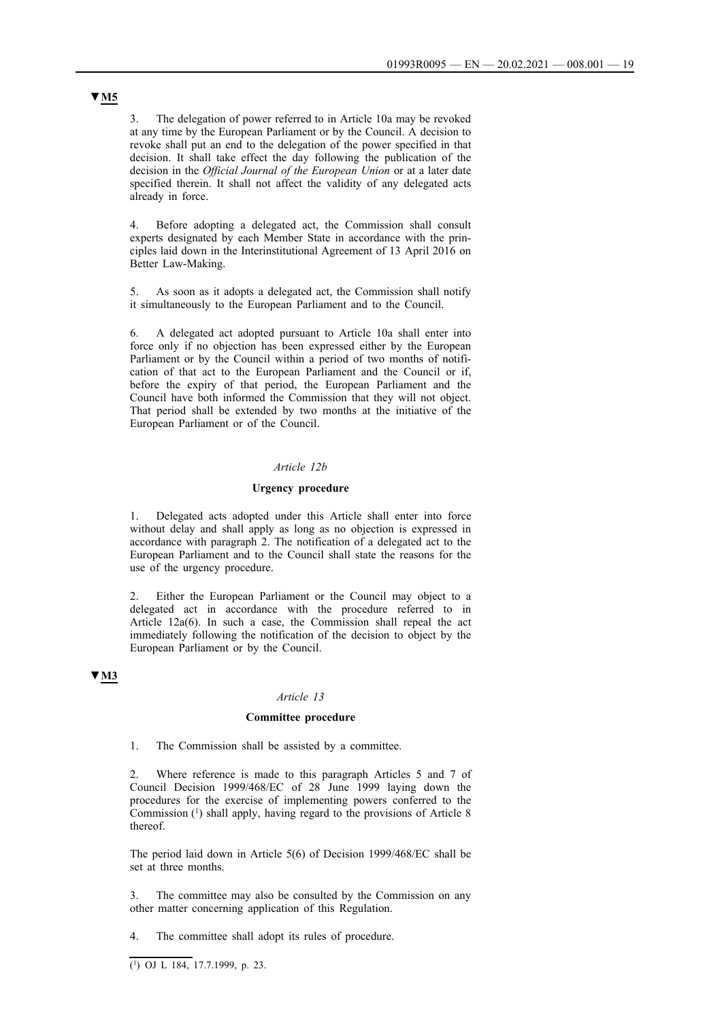3. The delegation of power referred to in Article 10a may be revoked at any time by the European Parliament or by the Council. A decision to revoke shall put an end to the delegation of the power specified in that decision. It shall take effect the day following the publication of the decision in the *Official Journal of the European Union* or at a later date specified therein. It shall not affect the validity of any delegated acts already in force.

4. Before adopting a delegated act, the Commission shall consult experts designated by each Member State in accordance with the principles laid down in the Interinstitutional Agreement of 13 April 2016 on Better Law-Making.

5. As soon as it adopts a delegated act, the Commission shall notify it simultaneously to the European Parliament and to the Council.

6. A delegated act adopted pursuant to Article 10a shall enter into force only if no objection has been expressed either by the European Parliament or by the Council within a period of two months of notification of that act to the European Parliament and the Council or if, before the expiry of that period, the European Parliament and the Council have both informed the Commission that they will not object. That period shall be extended by two months at the initiative of the European Parliament or of the Council.

#### *Article 12b*

### **Urgency procedure**

1. Delegated acts adopted under this Article shall enter into force without delay and shall apply as long as no objection is expressed in accordance with paragraph 2. The notification of a delegated act to the European Parliament and to the Council shall state the reasons for the use of the urgency procedure.

Either the European Parliament or the Council may object to a delegated act in accordance with the procedure referred to in Article 12a(6). In such a case, the Commission shall repeal the act immediately following the notification of the decision to object by the European Parliament or by the Council.

#### **▼M3**

#### *Article 13*

#### **Committee procedure**

1. The Commission shall be assisted by a committee.

2. Where reference is made to this paragraph Articles 5 and 7 of Council Decision 1999/468/EC of 28 June 1999 laying down the procedures for the exercise of implementing powers conferred to the Commission (1) shall apply, having regard to the provisions of Article 8 thereof.

The period laid down in Article 5(6) of Decision 1999/468/EC shall be set at three months.

3. The committee may also be consulted by the Commission on any other matter concerning application of this Regulation.

4. The committee shall adopt its rules of procedure.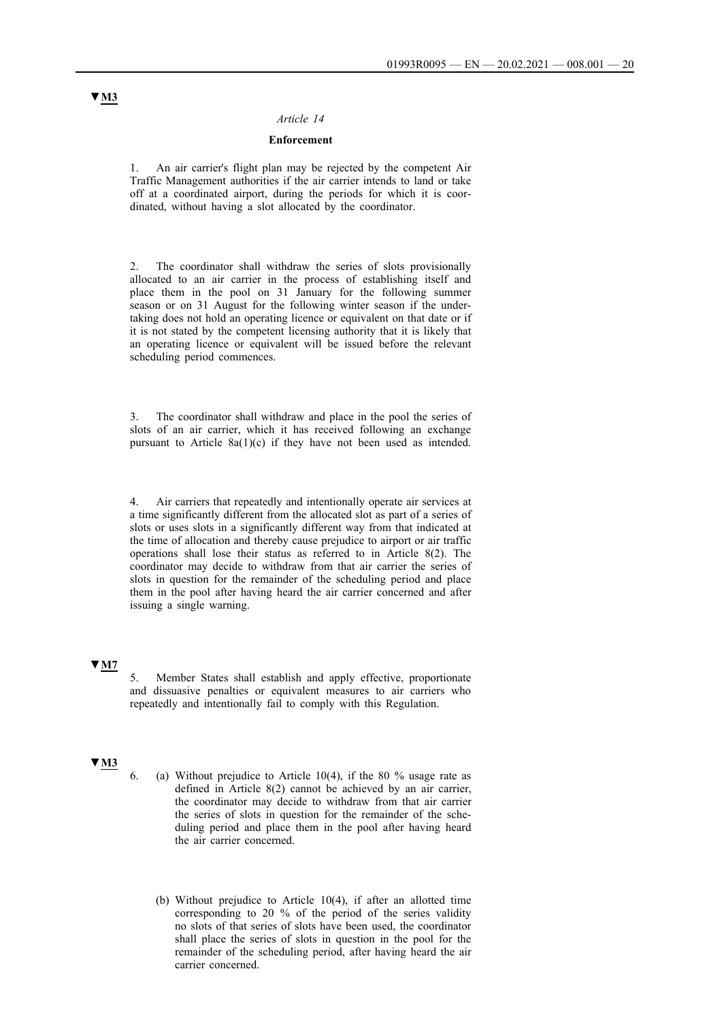#### *Article 14*

### **Enforcement**

1. An air carrier's flight plan may be rejected by the competent Air Traffic Management authorities if the air carrier intends to land or take off at a coordinated airport, during the periods for which it is coordinated, without having a slot allocated by the coordinator.

2. The coordinator shall withdraw the series of slots provisionally allocated to an air carrier in the process of establishing itself and place them in the pool on 31 January for the following summer season or on 31 August for the following winter season if the undertaking does not hold an operating licence or equivalent on that date or if it is not stated by the competent licensing authority that it is likely that an operating licence or equivalent will be issued before the relevant scheduling period commences.

3. The coordinator shall withdraw and place in the pool the series of slots of an air carrier, which it has received following an exchange pursuant to Article 8a(1)(c) if they have not been used as intended.

Air carriers that repeatedly and intentionally operate air services at a time significantly different from the allocated slot as part of a series of slots or uses slots in a significantly different way from that indicated at the time of allocation and thereby cause prejudice to airport or air traffic operations shall lose their status as referred to in Article 8(2). The coordinator may decide to withdraw from that air carrier the series of slots in question for the remainder of the scheduling period and place them in the pool after having heard the air carrier concerned and after issuing a single warning.

## **▼M7**

5. Member States shall establish and apply effective, proportionate and dissuasive penalties or equivalent measures to air carriers who repeatedly and intentionally fail to comply with this Regulation.

## **▼M3**

- 6. (a) Without prejudice to Article  $10(4)$ , if the 80 % usage rate as defined in Article 8(2) cannot be achieved by an air carrier, the coordinator may decide to withdraw from that air carrier the series of slots in question for the remainder of the scheduling period and place them in the pool after having heard the air carrier concerned.
	- (b) Without prejudice to Article 10(4), if after an allotted time corresponding to 20 % of the period of the series validity no slots of that series of slots have been used, the coordinator shall place the series of slots in question in the pool for the remainder of the scheduling period, after having heard the air carrier concerned.